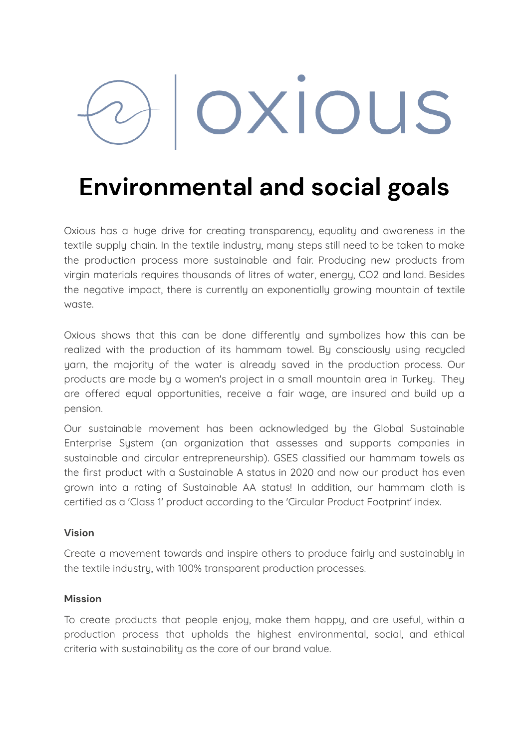# OXIOUS

# **Environmental and social goals**

Oxious has a huge drive for creating transparency, equality and awareness in the textile supply chain. In the textile industry, many steps still need to be taken to make the production process more sustainable and fair. Producing new products from virgin materials requires thousands of litres of water, energy, CO2 and land. Besides the negative impact, there is currently an exponentially growing mountain of textile waste.

Oxious shows that this can be done differently and symbolizes how this can be realized with the production of its hammam towel. By consciously using recycled yarn, the majority of the water is already saved in the production process. Our products are made by a women's project in a small mountain area in Turkey. They are offered equal opportunities, receive a fair wage, are insured and build up a pension.

Our sustainable movement has been acknowledged by the Global Sustainable Enterprise System (an organization that assesses and supports companies in sustainable and circular entrepreneurship). GSES classified our hammam towels as the first product with a Sustainable A status in 2020 and now our product has even grown into a rating of Sustainable AA status! In addition, our hammam cloth is certified as a 'Class 1' product according to the 'Circular Product Footprint' index.

## **Vision**

Create a movement towards and inspire others to produce fairly and sustainably in the textile industry, with 100% transparent production processes.

## **Mission**

To create products that people enjoy, make them happy, and are useful, within a production process that upholds the highest environmental, social, and ethical criteria with sustainability as the core of our brand value.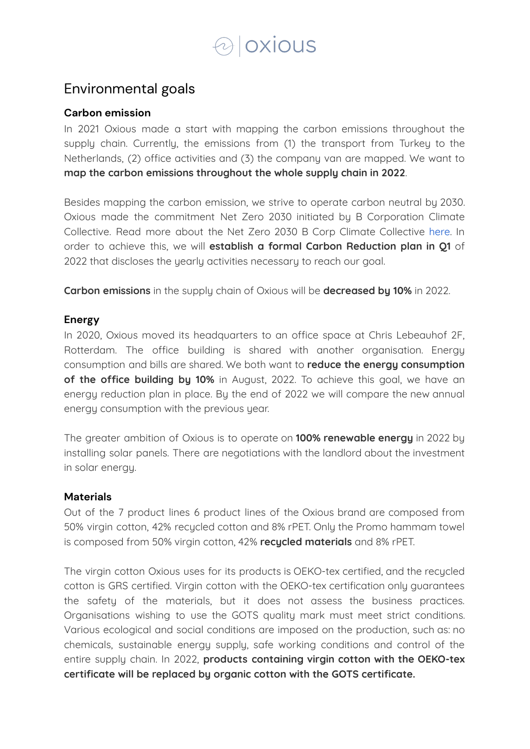# $\odot$  oxious

## Environmental goals

## **Carbon emission**

In 2021 Oxious made a start with mapping the carbon emissions throughout the supply chain. Currently, the emissions from (1) the transport from Turkey to the Netherlands, (2) office activities and (3) the company van are mapped. We want to **map the carbon emissions throughout the whole supply chain in 2022**.

Besides mapping the carbon emission, we strive to operate carbon neutral by 2030. Oxious made the commitment Net Zero 2030 initiated by B Corporation Climate Collective. Read more about the Net Zero 2030 B Corp Climate Collective [here](https://www.bcorpclimatecollective.org/net-zero-2030). In order to achieve this, we will **establish a formal Carbon Reduction plan in Q1** of 2022 that discloses the yearly activities necessary to reach our goal.

**Carbon emissions** in the supply chain of Oxious will be **decreased by 10%** in 2022.

## **Energy**

In 2020, Oxious moved its headquarters to an office space at Chris Lebeauhof 2F, Rotterdam. The office building is shared with another organisation. Energy consumption and bills are shared. We both want to **reduce the energy consumption of the office building by 10%** in August, 2022. To achieve this goal, we have an energy reduction plan in place. By the end of 2022 we will compare the new annual energy consumption with the previous year.

The greater ambition of Oxious is to operate on **100% renewable energy** in 2022 by installing solar panels. There are negotiations with the landlord about the investment in solar energy.

## **Materials**

Out of the 7 product lines 6 product lines of the Oxious brand are composed from 50% virgin cotton, 42% recycled cotton and 8% rPET. Only the Promo hammam towel is composed from 50% virgin cotton, 42% **recycled materials** and 8% rPET.

The virgin cotton Oxious uses for its products is OEKO-tex certified, and the recycled cotton is GRS certified. Virgin cotton with the OEKO-tex certification only guarantees the safety of the materials, but it does not assess the business practices. Organisations wishing to use the GOTS quality mark must meet strict conditions. Various ecological and social conditions are imposed on the production, such as: no chemicals, sustainable energy supply, safe working conditions and control of the entire supply chain. In 2022, **products containing virgin cotton with the OEKO-tex certificate will be replaced by organic cotton with the GOTS certificate.**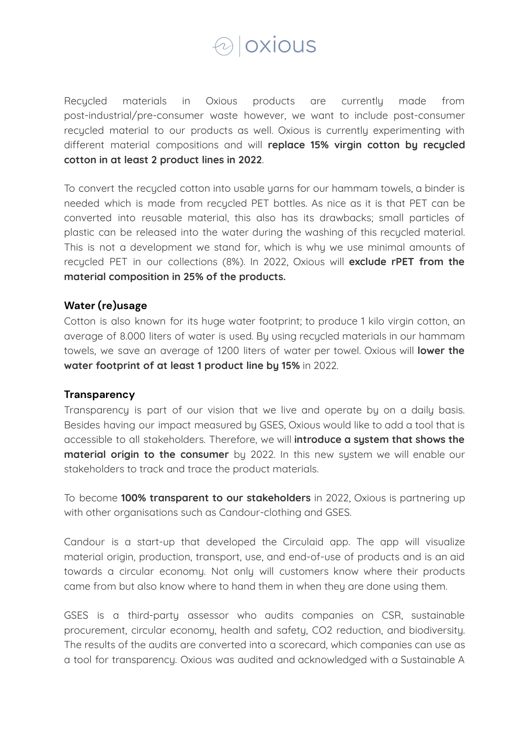

Recycled materials in Oxious products are currently made from post-industrial/pre-consumer waste however, we want to include post-consumer recycled material to our products as well. Oxious is currently experimenting with different material compositions and will **replace 15% virgin cotton by recycled cotton in at least 2 product lines in 2022**.

To convert the recycled cotton into usable yarns for our hammam towels, a binder is needed which is made from recycled PET bottles. As nice as it is that PET can be converted into reusable material, this also has its drawbacks; small particles of plastic can be released into the water during the washing of this recycled material. This is not a development we stand for, which is why we use minimal amounts of recycled PET in our collections (8%). In 2022, Oxious will **exclude rPET from the material composition in 25% of the products.**

## **Water (re)usage**

Cotton is also known for its huge water footprint; to produce 1 kilo virgin cotton, an average of 8.000 liters of water is used. By using recycled materials in our hammam towels, we save an average of 1200 liters of water per towel. Oxious will **lower the water footprint of at least 1 product line by 15%** in 2022.

#### **Transparency**

Transparency is part of our vision that we live and operate by on a daily basis. Besides having our impact measured by GSES, Oxious would like to add a tool that is accessible to all stakeholders. Therefore, we will **introduce a system that shows the material origin to the consumer** by 2022. In this new system we will enable our stakeholders to track and trace the product materials.

To become **100% transparent to our stakeholders** in 2022, Oxious is partnering up with other organisations such as Candour-clothing and GSES.

Candour is a start-up that developed the Circulaid app. The app will visualize material origin, production, transport, use, and end-of-use of products and is an aid towards a circular economy. Not only will customers know where their products came from but also know where to hand them in when they are done using them.

GSES is a third-party assessor who audits companies on CSR, sustainable procurement, circular economy, health and safety, CO2 reduction, and biodiversity. The results of the audits are converted into a scorecard, which companies can use as a tool for transparency. Oxious was audited and acknowledged with a Sustainable A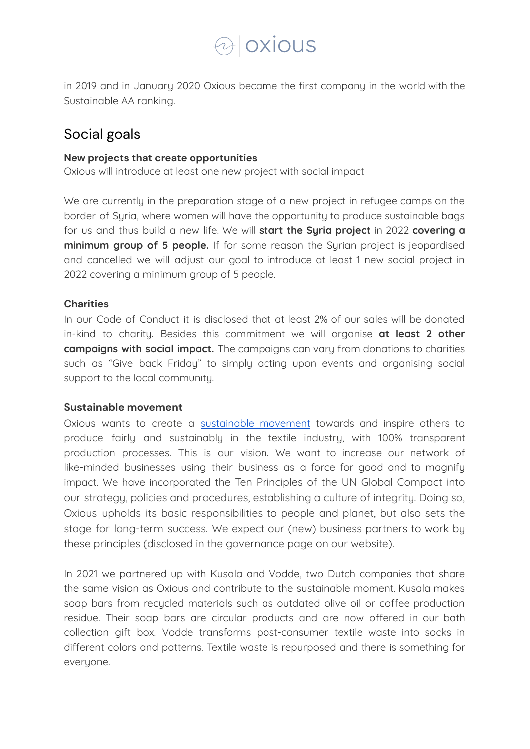## $\odot$  oxious

in 2019 and in January 2020 Oxious became the first company in the world with the Sustainable AA ranking.

## Social goals

#### **New projects that create opportunities**

Oxious will introduce at least one new project with social impact

We are currently in the preparation stage of a new project in refugee camps on the border of Syria, where women will have the opportunity to produce sustainable bags for us and thus build a new life. We will **start the Syria project** in 2022 **covering a minimum group of 5 people.** If for some reason the Syrian project is jeopardised and cancelled we will adjust our goal to introduce at least 1 new social project in 2022 covering a minimum group of 5 people.

## **Charities**

In our Code of Conduct it is disclosed that at least 2% of our sales will be donated in-kind to charity. Besides this commitment we will organise **at least 2 other campaigns with social impact.** The campaigns can vary from donations to charities such as "Give back Friday" to simply acting upon events and organising social support to the local community.

## **Sustainable movement**

Oxious wants to create a [sustainable](https://oxious.com/en/duurzaamheid-in-de-textielketen/) movement towards and inspire others to produce fairly and sustainably in the textile industry, with 100% transparent production processes. This is our vision. We want to increase our network of like-minded businesses using their business as a force for good and to magnify impact. We have incorporated the Ten Principles of the UN Global Compact into our strategy, policies and procedures, establishing a culture of integrity. Doing so, Oxious upholds its basic responsibilities to people and planet, but also sets the stage for long-term success. We expect our (new) business partners to work by these principles (disclosed in the governance page on our website).

In 2021 we partnered up with Kusala and Vodde, two Dutch companies that share the same vision as Oxious and contribute to the sustainable moment. Kusala makes soap bars from recycled materials such as outdated olive oil or coffee production residue. Their soap bars are circular products and are now offered in our bath collection gift box. Vodde transforms post-consumer textile waste into socks in different colors and patterns. Textile waste is repurposed and there is something for everyone.